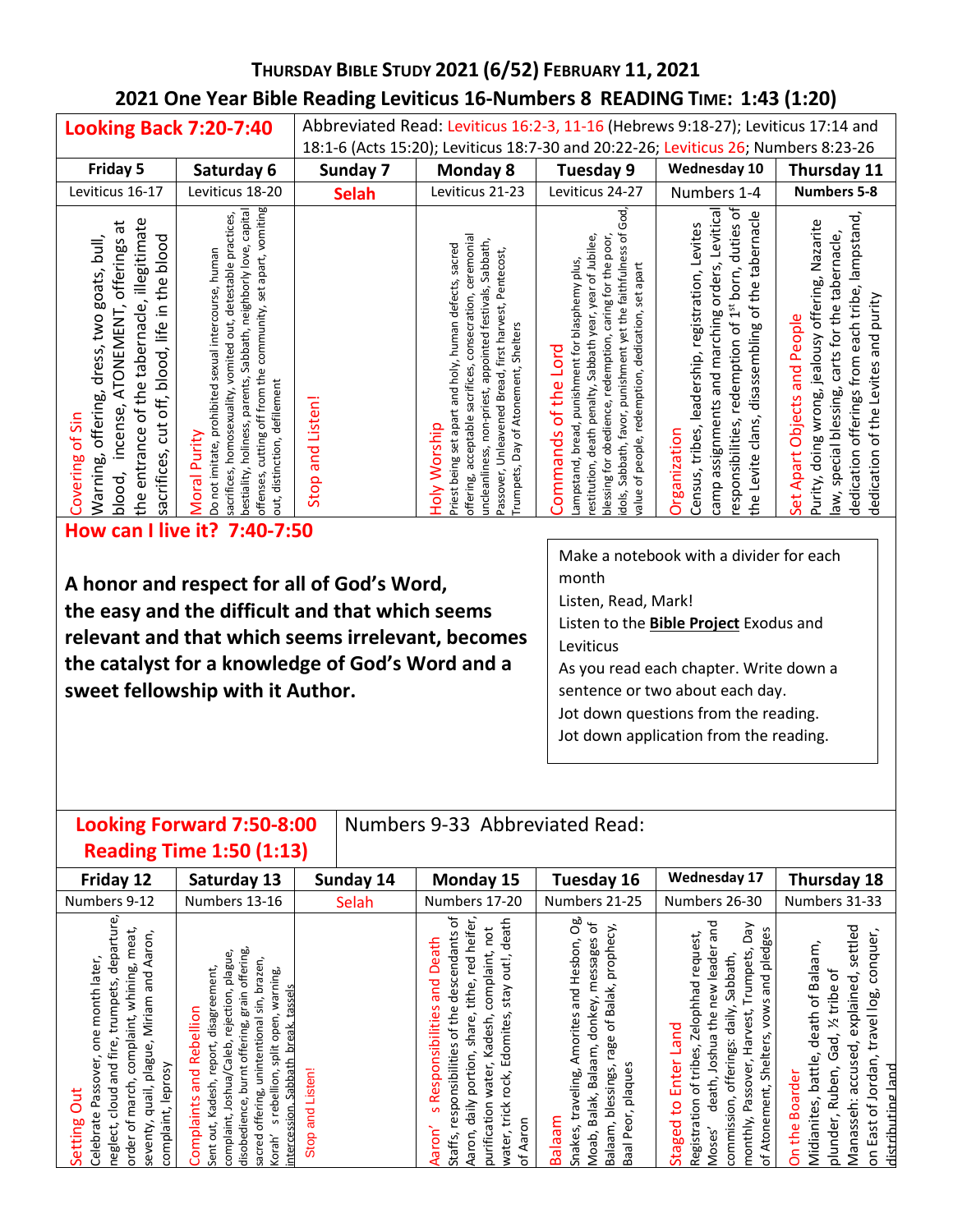# **THURSDAY BIBLE STUDY 2021 (6/52) FEBRUARY 11, 2021 2021 One Year Bible Reading Leviticus 16-Numbers 8 READING TIME: 1:43 (1:20)**

| <b>Looking Back 7:20-7:40</b>                                                                                                                                                                                        |                                                                                                                                                                                                                                                                                                            |                                           | Abbreviated Read: Leviticus 16:2-3, 11-16 (Hebrews 9:18-27); Leviticus 17:14 and                                                                                                                                                                                                                 |                                                                                                                                                                                                                                                                                                                         |                                                                                                                                                                                                                                     |                                                                                                                                                                                                                                 |
|----------------------------------------------------------------------------------------------------------------------------------------------------------------------------------------------------------------------|------------------------------------------------------------------------------------------------------------------------------------------------------------------------------------------------------------------------------------------------------------------------------------------------------------|-------------------------------------------|--------------------------------------------------------------------------------------------------------------------------------------------------------------------------------------------------------------------------------------------------------------------------------------------------|-------------------------------------------------------------------------------------------------------------------------------------------------------------------------------------------------------------------------------------------------------------------------------------------------------------------------|-------------------------------------------------------------------------------------------------------------------------------------------------------------------------------------------------------------------------------------|---------------------------------------------------------------------------------------------------------------------------------------------------------------------------------------------------------------------------------|
|                                                                                                                                                                                                                      |                                                                                                                                                                                                                                                                                                            |                                           | 18:1-6 (Acts 15:20); Leviticus 18:7-30 and 20:22-26; Leviticus 26; Numbers 8:23-26                                                                                                                                                                                                               |                                                                                                                                                                                                                                                                                                                         |                                                                                                                                                                                                                                     |                                                                                                                                                                                                                                 |
| Friday 5                                                                                                                                                                                                             | Saturday 6                                                                                                                                                                                                                                                                                                 | Sunday 7                                  | <b>Monday 8</b>                                                                                                                                                                                                                                                                                  | Tuesday 9                                                                                                                                                                                                                                                                                                               | <b>Wednesday 10</b>                                                                                                                                                                                                                 | Thursday 11                                                                                                                                                                                                                     |
| Leviticus 16-17                                                                                                                                                                                                      | Leviticus 18-20                                                                                                                                                                                                                                                                                            | <b>Selah</b>                              | Leviticus 21-23                                                                                                                                                                                                                                                                                  | Leviticus 24-27                                                                                                                                                                                                                                                                                                         | Numbers 1-4                                                                                                                                                                                                                         | <b>Numbers 5-8</b>                                                                                                                                                                                                              |
| the entrance of the tabernacle, illegitimate<br>ã<br>Warning, offering, dress, two goats, bull,<br>sacrifices, cut off, blood, life in the blood<br>offerings<br>ATONEMENT,<br>incense,<br>Covering of Sin<br>blood, | offenses, cutting off from the community, set apart, vomiting<br>bestiality, holiness, parents, Sabbath, neighborly love, capital<br>sacrifices, homosexuality, vomited out, detestable practices,<br>Do not imitate, prohibited sexual intercourse, human<br>out, distinction, defilement<br>Moral Purity | and Listen!<br>Stop                       | offering, acceptable sacrifices, consecration, ceremonial<br>uncleanliness, non-priest, appointed festivals, Sabbath,<br>Priest being set apart and holy, human defects, sacred<br>Passover, Unleavened Bread, first harvest, Pentecost,<br>Trumpets, Day of Atonement, Shelters<br>doly Worship | dols, Sabbath, favor, punishment yet the faithfulness of God<br>blessing for obedience, redemption, caring for the poor,<br>restitution, death penalty, Sabbath year, year of Jubilee,<br>ampstand, bread, punishment for blasphemy plus,<br>value of people, redemption, dedication, set apart<br>Commands of the Lord | orders, Levitical<br>responsibilities, redemption of 1st born, duties of<br>the Levite clans, disassembling of the tabernacle<br>Census, tribes, leadership, registration, Levites<br>camp assignments and marching<br>Organization | dedication offerings from each tribe, lampstand<br>Purity, doing wrong, jealousy offering, Nazarite<br>law, special blessing, carts for the tabernacle,<br>dedication of the Levites and purity<br>Set Apart Objects and People |
|                                                                                                                                                                                                                      | How can I live it? 7:40-7:50                                                                                                                                                                                                                                                                               |                                           |                                                                                                                                                                                                                                                                                                  |                                                                                                                                                                                                                                                                                                                         |                                                                                                                                                                                                                                     |                                                                                                                                                                                                                                 |
|                                                                                                                                                                                                                      |                                                                                                                                                                                                                                                                                                            |                                           |                                                                                                                                                                                                                                                                                                  |                                                                                                                                                                                                                                                                                                                         | Make a notebook with a divider for each                                                                                                                                                                                             |                                                                                                                                                                                                                                 |
|                                                                                                                                                                                                                      |                                                                                                                                                                                                                                                                                                            | A honor and reconct for all of God's Word |                                                                                                                                                                                                                                                                                                  | month                                                                                                                                                                                                                                                                                                                   |                                                                                                                                                                                                                                     |                                                                                                                                                                                                                                 |

**A honor and respect for all of God's Word, the easy and the difficult and that which seems relevant and that which seems irrelevant, becomes the catalyst for a knowledge of God's Word and a sweet fellowship with it Author.** 

month

Listen, Read, Mark!

Listen to the **Bible Project** Exodus and Leviticus

As you read each chapter. Write down a sentence or two about each day. Jot down questions from the reading.

Jot down application from the reading.

# **Looking Forward 7:50-8:00**

Numbers 9-33 Abbreviated Read:

| <b>Reading Time 1:50 (1:13)</b> |
|---------------------------------|
|---------------------------------|

| Friday 12                                                                                                                                                                                                                                                                                  | Saturday 13                                                                                                                                                                                                                                                                                                                                                                                                                                                                                                                                                                                                                                                                                                                                                                                                                                                                                                                                                                                                                                                                                                                                                                                                                                                                                                                                                                                                                                                                                                                                                                                                                                                                                                                                                                                                                                                                                                                                                                                                        | Sunday 14                     | Monday 15                                                                                                                                                                                                                                                                                                                                                             | <b>Tuesday 16</b>                                                                                                                                                                                                              | <b>Wednesday 17</b>                                                                                                                                                                                                                                                                                                                                                       | Thursday 18                                                                                                                                                                                                                                                                                                       |
|--------------------------------------------------------------------------------------------------------------------------------------------------------------------------------------------------------------------------------------------------------------------------------------------|--------------------------------------------------------------------------------------------------------------------------------------------------------------------------------------------------------------------------------------------------------------------------------------------------------------------------------------------------------------------------------------------------------------------------------------------------------------------------------------------------------------------------------------------------------------------------------------------------------------------------------------------------------------------------------------------------------------------------------------------------------------------------------------------------------------------------------------------------------------------------------------------------------------------------------------------------------------------------------------------------------------------------------------------------------------------------------------------------------------------------------------------------------------------------------------------------------------------------------------------------------------------------------------------------------------------------------------------------------------------------------------------------------------------------------------------------------------------------------------------------------------------------------------------------------------------------------------------------------------------------------------------------------------------------------------------------------------------------------------------------------------------------------------------------------------------------------------------------------------------------------------------------------------------------------------------------------------------------------------------------------------------|-------------------------------|-----------------------------------------------------------------------------------------------------------------------------------------------------------------------------------------------------------------------------------------------------------------------------------------------------------------------------------------------------------------------|--------------------------------------------------------------------------------------------------------------------------------------------------------------------------------------------------------------------------------|---------------------------------------------------------------------------------------------------------------------------------------------------------------------------------------------------------------------------------------------------------------------------------------------------------------------------------------------------------------------------|-------------------------------------------------------------------------------------------------------------------------------------------------------------------------------------------------------------------------------------------------------------------------------------------------------------------|
| Numbers 9-12                                                                                                                                                                                                                                                                               | Numbers 13-16                                                                                                                                                                                                                                                                                                                                                                                                                                                                                                                                                                                                                                                                                                                                                                                                                                                                                                                                                                                                                                                                                                                                                                                                                                                                                                                                                                                                                                                                                                                                                                                                                                                                                                                                                                                                                                                                                                                                                                                                      | Selah                         | Numbers 17-20                                                                                                                                                                                                                                                                                                                                                         | Numbers 21-25                                                                                                                                                                                                                  | Numbers 26-30                                                                                                                                                                                                                                                                                                                                                             | Numbers 31-33                                                                                                                                                                                                                                                                                                     |
| ture<br>meat,<br>aron,<br>depai<br>later,<br>⋖<br>whining,<br>and<br>trumpets,<br>month<br>Miriam<br>complaint,<br>tire,<br>ō<br>plague<br>ē<br>pue<br>leprosy<br>Č<br>march,<br>quail,<br>Pass<br>cloud<br>Jut<br>omplaint,<br>ڢ<br>etting<br>seventy,<br>prder of<br>reglect,<br>Celebra | offering,<br>plague<br>brazen,<br>ment,<br>warning,<br>tassels<br>grain<br>ection<br>sin,<br>disagre<br>ellion<br>open,<br>onal<br>leò<br>≡<br>ē<br>break<br>€ة<br>Reb<br><br>음<br>split<br>등<br>o<br>Sabbath<br><b>GD</b><br>burnt<br>rebellion,<br>and<br>Joshua<br>윿<br>rıng<br>E<br>Kade<br>ints<br>disobedience,<br>ntercession<br>mplaint,<br>튱<br>mplai<br>ti<br>5<br><orah'< td=""><td><b>Listen!</b><br/>and<br/>Stop</td><td>Ⴆ<br/>death<br/>َة<br/>not<br/>heif<br/>descendants<br/>Death<br/>aint,<br/>red<br/>utl,<br/>O<br/>compla<br/>pue<br/>tithe,<br/>stay<br/>e4‡<br/>sponsibilitie<br/>Edomites,<br/>Kadesh,<br/>share<br/>Ⴆ<br/>ponsibilities<br/>portion,<br/><math display="inline">\overline{\phantom{a}}</math><br/>water<br/>rock,<br/>نة<br/>عم<br/>trick<br/>tion<br/><math>\overline{a}</math><br/>Aaron<br/>š<br/>ater,<br/>purific<br/>Aaron<br/>Staffs,</td><td>0g<br/>đ<br/>prophecy<br/>messages<br/>Hesbon,<br/>Balak,<br/>and<br/>onkey,<br/>Amorites<br/>ъ<br/>ರ<br/>rage<br/>Balaam,<br/>plaques<br/>blessings,<br/>traveling,<br/>Balak,<br/>Peor,<br/>meeleg<br/>Balaam,<br/>Snakes<br/>oab,<br/>ᇹ<br/>Ä<br/>Σ</td><td>and<br/>yed<br/>pledges<br/>request,<br/>leader<br/>Trumpets<br/>Sabbath,<br/>pue<br/>Zelophhad<br/>new<br/>vows<br/>est,<br/>daily,<br/>the<br/>定<br/>Joshua<br/>Shelters<br/>offerings:<br/>훈<br/>᠊ᢐ<br/>tribes<br/>Passover,<br/>nter<br/>ath,<br/><math>\overline{\sigma}</math><br/>Atonement,<br/>ш<br/>gistration<br/>ğ<br/>commission<br/><math>\mathsf{S}</math><br/>ionthly,<br/>ಠ<br/>oses'<br/>ā<br/>눙<br/><math>\mathsf{E}</math></td><td>settled<br/>conquer,<br/>ām,<br/>аlа<br/>đ<br/>explained,<br/>B<br/>ribe<br/><u>စ်</u><br/>đ<br/>death<br/>travel<br/><math>\mathbb{X}</math><br/>ತ್ತ<br/>accused,<br/>ပ<br/>lordan,<br/>battle<br/>land<br/>Ruben,<br/>the Boarder<br/>distributing<br/>Midianites,<br/>Manasseh:<br/>East of<br/>nder,<br/>å<br/><math>\overline{5}</math><br/><math>\overline{\circ}</math></td></orah'<> | <b>Listen!</b><br>and<br>Stop | Ⴆ<br>death<br>َة<br>not<br>heif<br>descendants<br>Death<br>aint,<br>red<br>utl,<br>O<br>compla<br>pue<br>tithe,<br>stay<br>e4‡<br>sponsibilitie<br>Edomites,<br>Kadesh,<br>share<br>Ⴆ<br>ponsibilities<br>portion,<br>$\overline{\phantom{a}}$<br>water<br>rock,<br>نة<br>عم<br>trick<br>tion<br>$\overline{a}$<br>Aaron<br>š<br>ater,<br>purific<br>Aaron<br>Staffs, | 0g<br>đ<br>prophecy<br>messages<br>Hesbon,<br>Balak,<br>and<br>onkey,<br>Amorites<br>ъ<br>ರ<br>rage<br>Balaam,<br>plaques<br>blessings,<br>traveling,<br>Balak,<br>Peor,<br>meeleg<br>Balaam,<br>Snakes<br>oab,<br>ᇹ<br>Ä<br>Σ | and<br>yed<br>pledges<br>request,<br>leader<br>Trumpets<br>Sabbath,<br>pue<br>Zelophhad<br>new<br>vows<br>est,<br>daily,<br>the<br>定<br>Joshua<br>Shelters<br>offerings:<br>훈<br>᠊ᢐ<br>tribes<br>Passover,<br>nter<br>ath,<br>$\overline{\sigma}$<br>Atonement,<br>ш<br>gistration<br>ğ<br>commission<br>$\mathsf{S}$<br>ionthly,<br>ಠ<br>oses'<br>ā<br>눙<br>$\mathsf{E}$ | settled<br>conquer,<br>ām,<br>аlа<br>đ<br>explained,<br>B<br>ribe<br><u>စ်</u><br>đ<br>death<br>travel<br>$\mathbb{X}$<br>ತ್ತ<br>accused,<br>ပ<br>lordan,<br>battle<br>land<br>Ruben,<br>the Boarder<br>distributing<br>Midianites,<br>Manasseh:<br>East of<br>nder,<br>å<br>$\overline{5}$<br>$\overline{\circ}$ |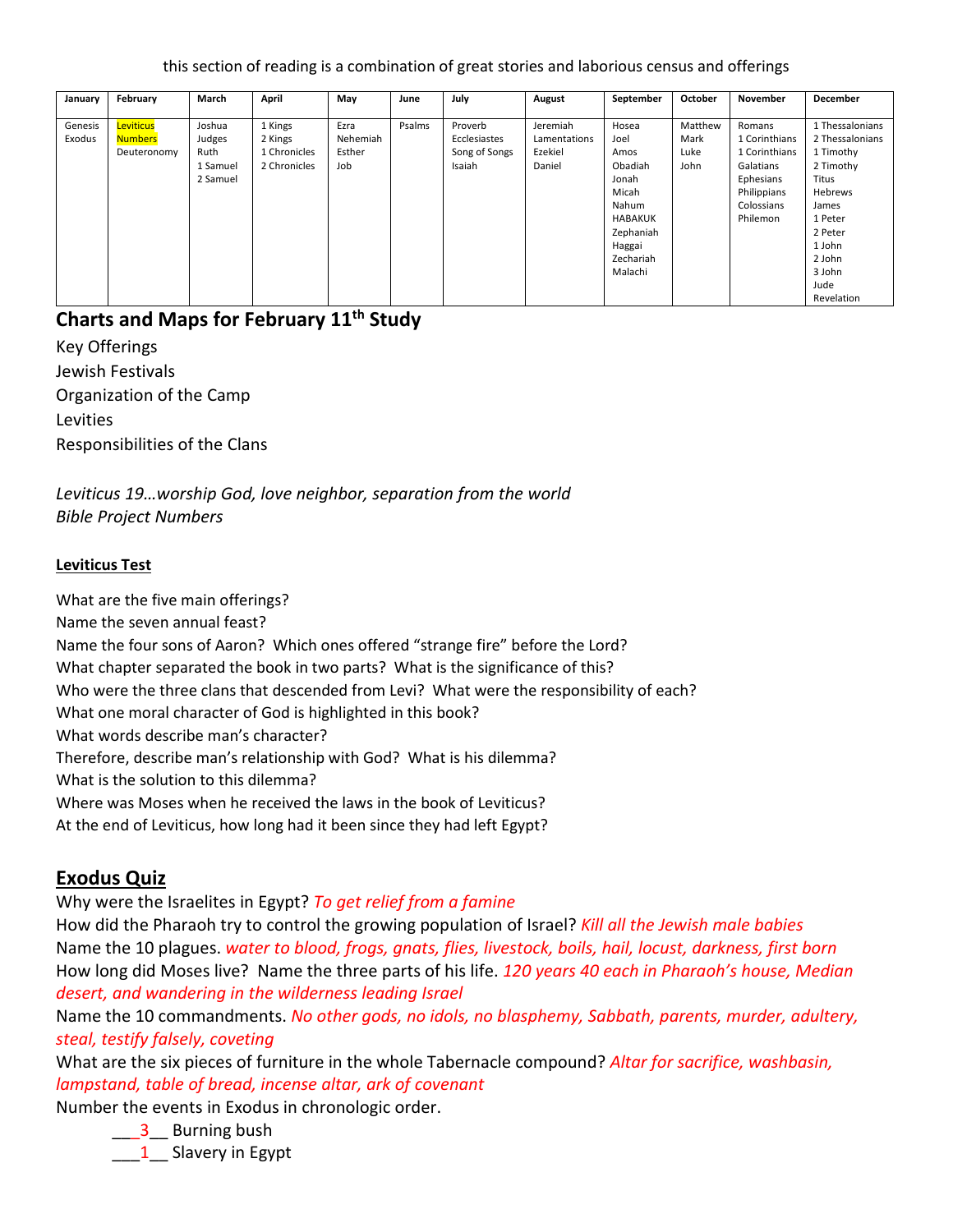this section of reading is a combination of great stories and laborious census and offerings

| January           | February                    | March            | April              | May              | June   | July                    | August                   | September      | October         | November                | December                           |
|-------------------|-----------------------------|------------------|--------------------|------------------|--------|-------------------------|--------------------------|----------------|-----------------|-------------------------|------------------------------------|
|                   |                             |                  |                    |                  |        |                         |                          |                |                 |                         |                                    |
| Genesis<br>Exodus | Leviticus<br><b>Numbers</b> | Joshua<br>Judges | 1 Kings<br>2 Kings | Ezra<br>Nehemiah | Psalms | Proverb<br>Ecclesiastes | Jeremiah<br>Lamentations | Hosea<br>Joel  | Matthew<br>Mark | Romans<br>1 Corinthians | 1 Thessalonians<br>2 Thessalonians |
|                   | Deuteronomy                 | Ruth             | 1 Chronicles       | Esther           |        | Song of Songs           | Ezekiel                  | Amos           | Luke            | 1 Corinthians           | 1 Timothy                          |
|                   |                             | 1 Samuel         | 2 Chronicles       | Job              |        | Isaiah                  | Daniel                   | Obadiah        | John            | Galatians               | 2 Timothy                          |
|                   |                             | 2 Samuel         |                    |                  |        |                         |                          | Jonah          |                 | Ephesians               | <b>Titus</b>                       |
|                   |                             |                  |                    |                  |        |                         |                          | Micah          |                 | Philippians             | Hebrews                            |
|                   |                             |                  |                    |                  |        |                         |                          | Nahum          |                 | Colossians              | James                              |
|                   |                             |                  |                    |                  |        |                         |                          | <b>HABAKUK</b> |                 | Philemon                | 1 Peter                            |
|                   |                             |                  |                    |                  |        |                         |                          | Zephaniah      |                 |                         | 2 Peter                            |
|                   |                             |                  |                    |                  |        |                         |                          | Haggai         |                 |                         | 1 John                             |
|                   |                             |                  |                    |                  |        |                         |                          | Zechariah      |                 |                         | 2 John                             |
|                   |                             |                  |                    |                  |        |                         |                          | Malachi        |                 |                         | 3 John                             |
|                   |                             |                  |                    |                  |        |                         |                          |                |                 |                         | Jude                               |
|                   |                             |                  |                    |                  |        |                         |                          |                |                 |                         | Revelation                         |

## **Charts and Maps for February 11th Study**

Key Offerings Jewish Festivals Organization of the Camp Levities Responsibilities of the Clans

*Leviticus 19…worship God, love neighbor, separation from the world Bible Project Numbers*

#### **Leviticus Test**

What are the five main offerings? Name the seven annual feast? Name the four sons of Aaron? Which ones offered "strange fire" before the Lord? What chapter separated the book in two parts? What is the significance of this? Who were the three clans that descended from Levi? What were the responsibility of each? What one moral character of God is highlighted in this book? What words describe man's character? Therefore, describe man's relationship with God? What is his dilemma? What is the solution to this dilemma? Where was Moses when he received the laws in the book of Leviticus? At the end of Leviticus, how long had it been since they had left Egypt?

# **Exodus Quiz**

Why were the Israelites in Egypt? *To get relief from a famine*

How did the Pharaoh try to control the growing population of Israel? *Kill all the Jewish male babies* Name the 10 plagues. *water to blood, frogs, gnats, flies, livestock, boils, hail, locust, darkness, first born* How long did Moses live? Name the three parts of his life. *120 years 40 each in Pharaoh's house, Median desert, and wandering in the wilderness leading Israel*

Name the 10 commandments. *No other gods, no idols, no blasphemy, Sabbath, parents, murder, adultery, steal, testify falsely, coveting*

What are the six pieces of furniture in the whole Tabernacle compound? *Altar for sacrifice, washbasin, lampstand, table of bread, incense altar, ark of covenant*

Number the events in Exodus in chronologic order.

\_\_\_3\_\_ Burning bush

1 Slavery in Egypt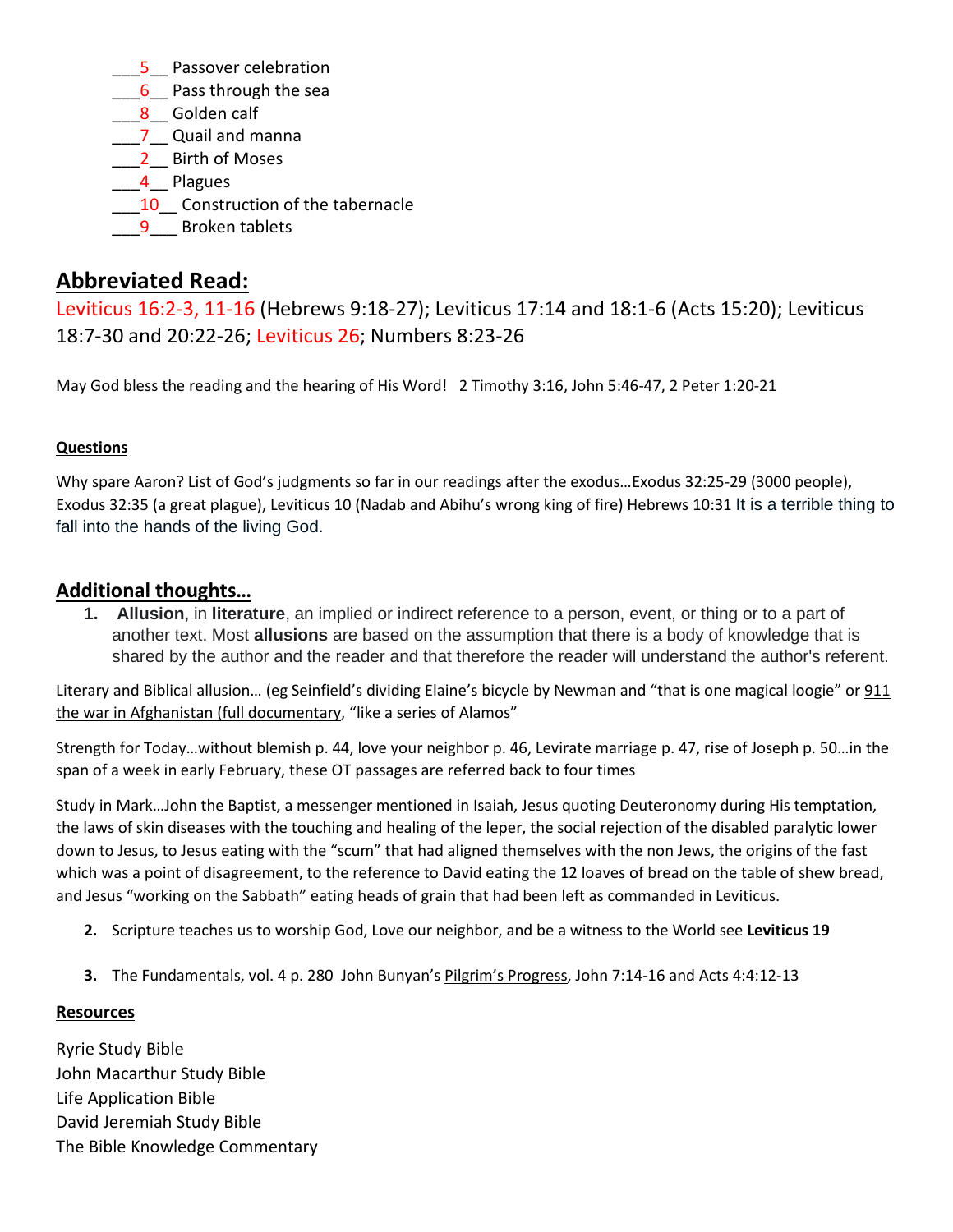- 5 Passover celebration
- 6 Pass through the sea
- 8 Golden calf
- \_\_\_7\_\_ Quail and manna
- 2 Birth of Moses
- 4 Plagues
- 10 Construction of the tabernacle
- **9** Broken tablets

# **Abbreviated Read:**

Leviticus 16:2-3, 11-16 (Hebrews 9:18-27); Leviticus 17:14 and 18:1-6 (Acts 15:20); Leviticus 18:7-30 and 20:22-26; Leviticus 26; Numbers 8:23-26

May God bless the reading and the hearing of His Word! 2 Timothy 3:16, John 5:46-47, 2 Peter 1:20-21

#### **Questions**

Why spare Aaron? List of God's judgments so far in our readings after the exodus…Exodus 32:25-29 (3000 people), Exodus 32:35 (a great plague), Leviticus 10 (Nadab and Abihu's wrong king of fire) Hebrews 10:31 It is a terrible thing to fall into the hands of the living God.

## **Additional thoughts…**

**1. Allusion**, in **literature**, an implied or indirect reference to a person, event, or thing or to a part of another text. Most **allusions** are based on the assumption that there is a body of knowledge that is shared by the author and the reader and that therefore the reader will understand the author's referent.

Literary and Biblical allusion… (eg Seinfield's dividing Elaine's bicycle by Newman and "that is one magical loogie" or 911 the war in Afghanistan (full documentary, "like a series of Alamos"

Strength for Today…without blemish p. 44, love your neighbor p. 46, Levirate marriage p. 47, rise of Joseph p. 50…in the span of a week in early February, these OT passages are referred back to four times

Study in Mark…John the Baptist, a messenger mentioned in Isaiah, Jesus quoting Deuteronomy during His temptation, the laws of skin diseases with the touching and healing of the leper, the social rejection of the disabled paralytic lower down to Jesus, to Jesus eating with the "scum" that had aligned themselves with the non Jews, the origins of the fast which was a point of disagreement, to the reference to David eating the 12 loaves of bread on the table of shew bread, and Jesus "working on the Sabbath" eating heads of grain that had been left as commanded in Leviticus.

- **2.** Scripture teaches us to worship God, Love our neighbor, and be a witness to the World see **Leviticus 19**
- **3.** The Fundamentals, vol. 4 p. 280 John Bunyan's Pilgrim's Progress, John 7:14-16 and Acts 4:4:12-13

#### **Resources**

Ryrie Study Bible John Macarthur Study Bible Life Application Bible David Jeremiah Study Bible The Bible Knowledge Commentary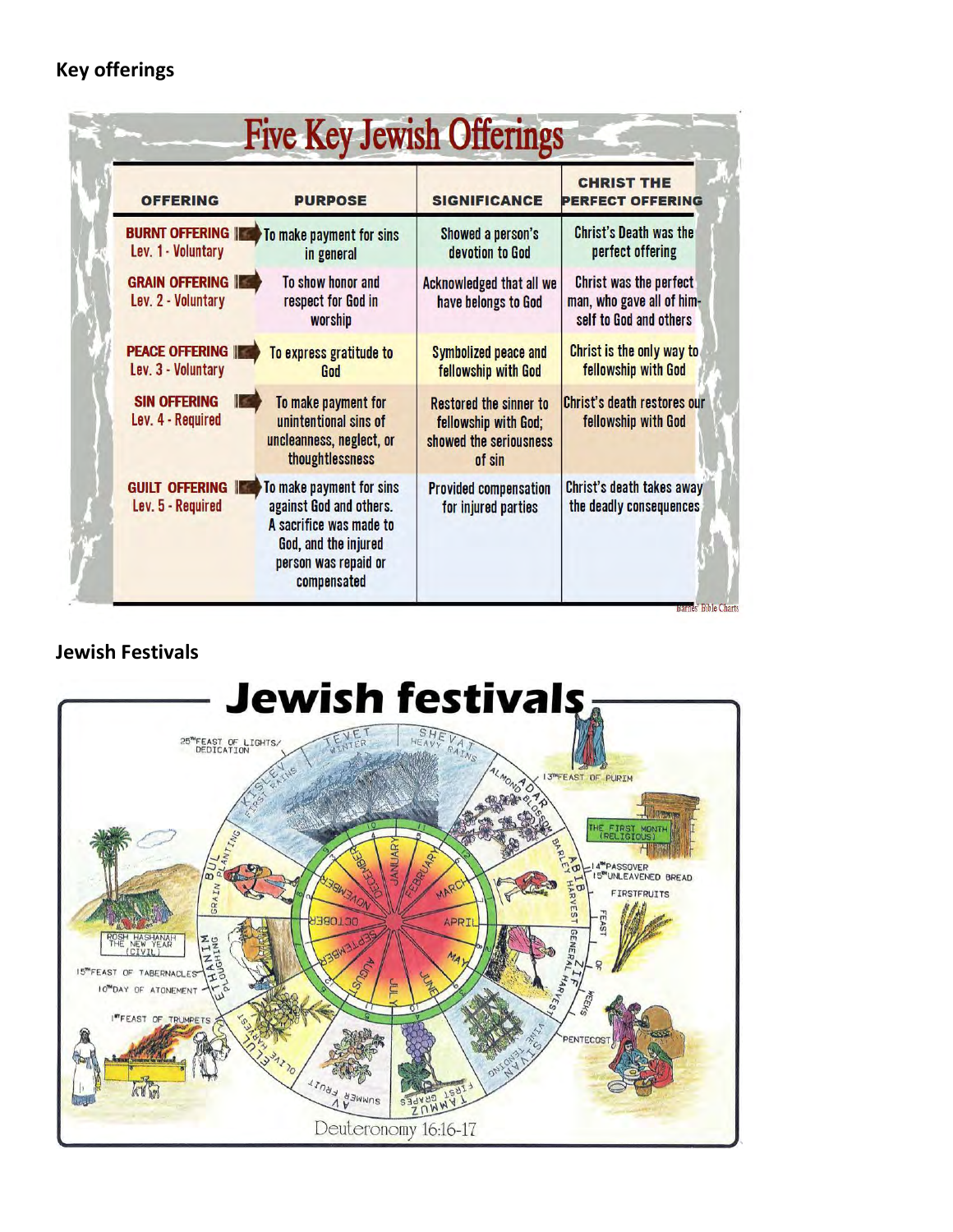# **Key offerings**

| <b>OFFERING</b>                                  | <b>PURPOSE</b>                                                                                                                                | <b>SIGNIFICANCE</b>                                                                       | <b>CHRIST THE</b><br>PERFECT OFFERING                                         |
|--------------------------------------------------|-----------------------------------------------------------------------------------------------------------------------------------------------|-------------------------------------------------------------------------------------------|-------------------------------------------------------------------------------|
| <b>BURNT OFFERING INC.</b><br>Lev. 1 - Voluntary | To make payment for sins<br>in general                                                                                                        | Showed a person's<br>devotion to God                                                      | <b>Christ's Death was the</b><br>perfect offering                             |
| <b>GRAIN OFFERING IF</b><br>Lev. 2 - Voluntary   | To show honor and<br>respect for God in<br>worship                                                                                            | <b>Acknowledged that all we</b><br>have belongs to God                                    | Christ was the perfect<br>man, who gave all of him-<br>self to God and others |
| <b>PEACE OFFERING IN</b><br>Lev. 3 - Voluntary   | To express gratitude to<br>God                                                                                                                | <b>Symbolized peace and</b><br>fellowship with God                                        | Christ is the only way to<br>fellowship with God                              |
| <b>SIN OFFERING</b><br>Lev. 4 - Required         | To make payment for<br>unintentional sins of<br>uncleanness, neglect, or<br>thoughtlessness                                                   | <b>Restored the sinner to</b><br>fellowship with God;<br>showed the seriousness<br>of sin | <b>Christ's death restores our</b><br>fellowship with God                     |
| <b>GUILT OFFERING III</b><br>Lev. 5 - Required   | To make payment for sins<br>against God and others.<br>A sacrifice was made to<br>God, and the injured<br>person was repaid or<br>compensated | <b>Provided compensation</b><br>for injured parties                                       | Christ's death takes away<br>the deadly consequences                          |

# **Jewish Festivals**

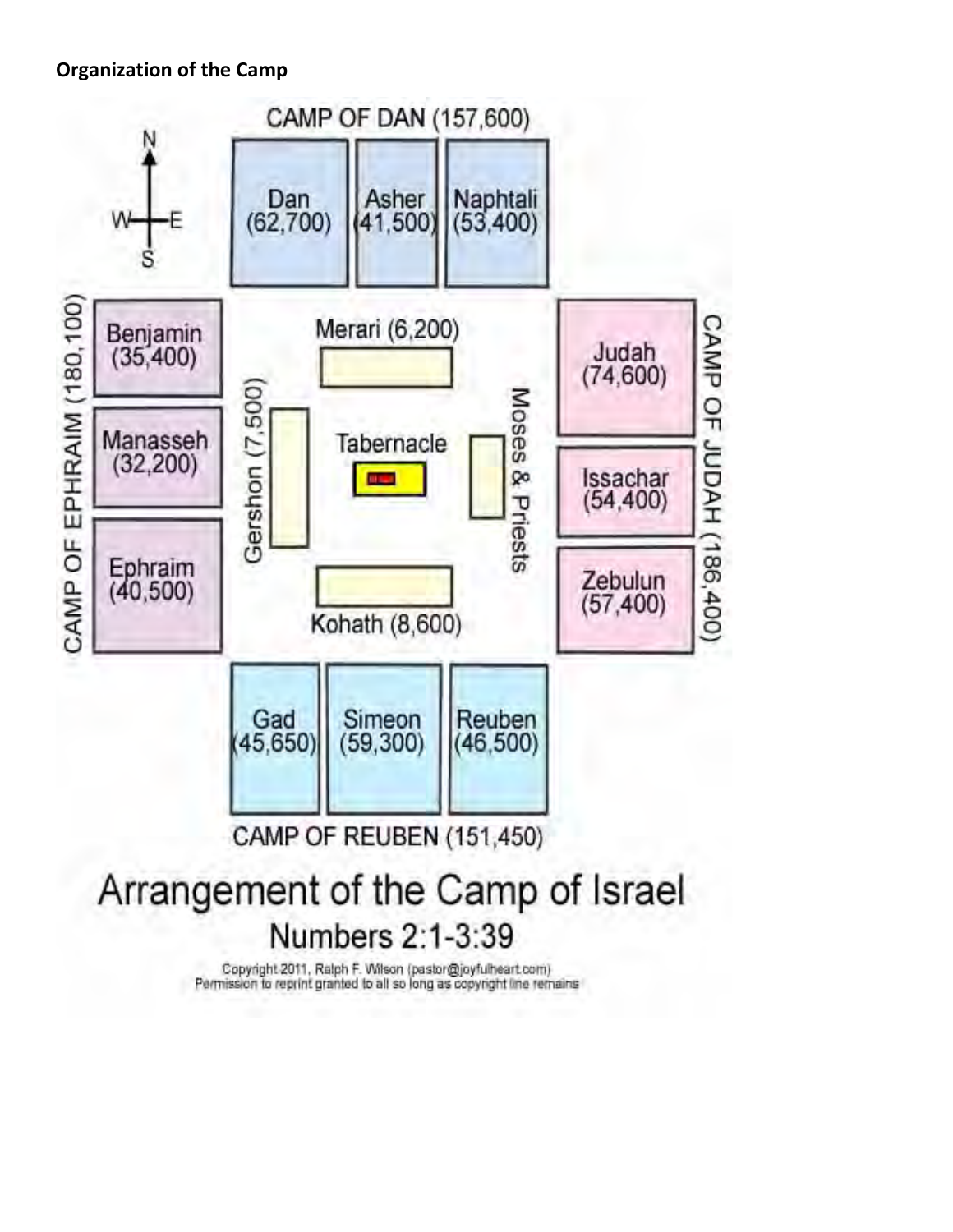# **Organization of the Camp**



Copyright 2011, Ralph F. Wilson (pastor@joyfulheart.com)<br>Permission to reprint granted to all so long as copyright line remains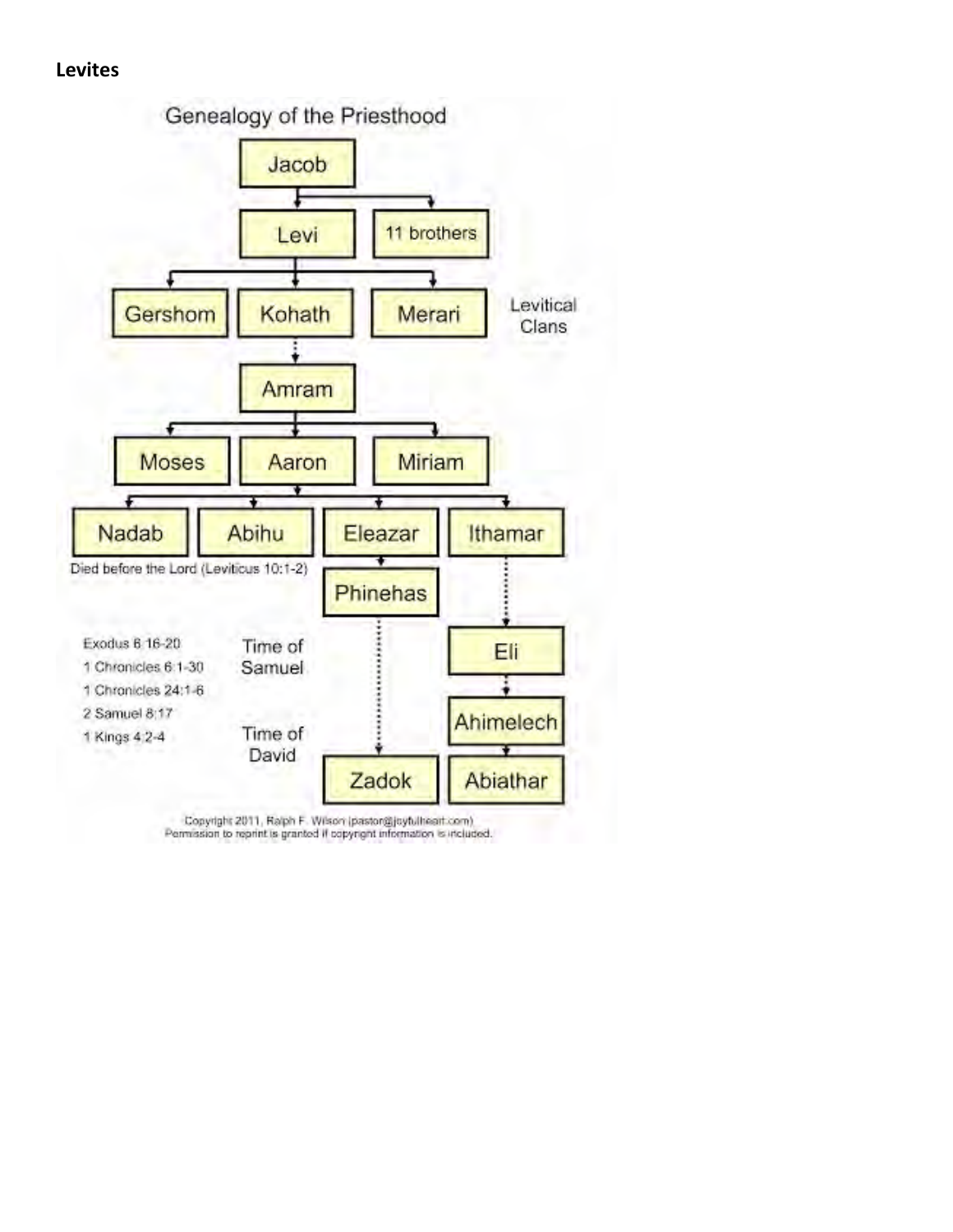### **Levites**



Copyright 2011, Ralph F. Wison (pastor@joytulheart.com)<br>Permission to reprint is granted if copyright information is included.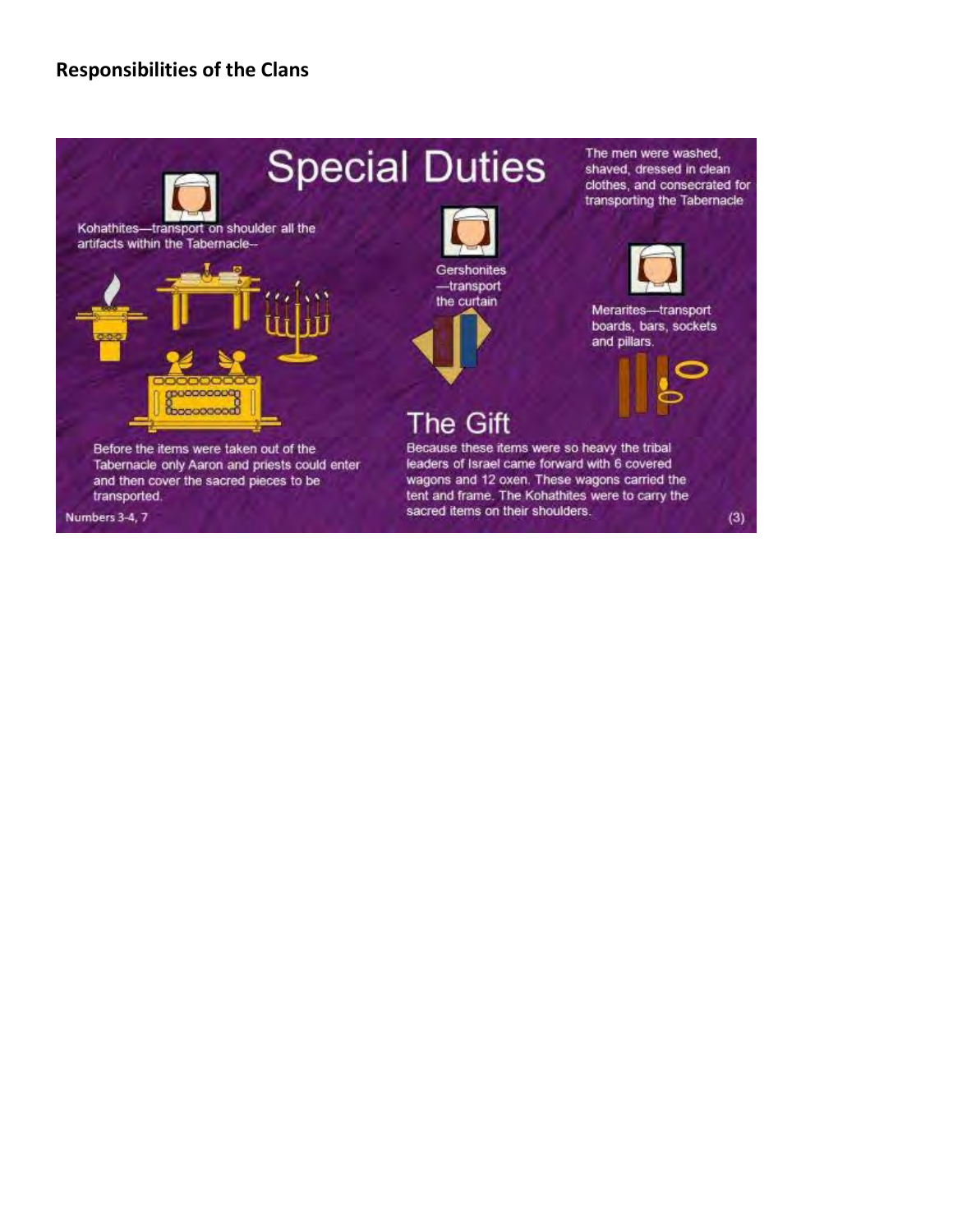## **Responsibilities of the Clans**

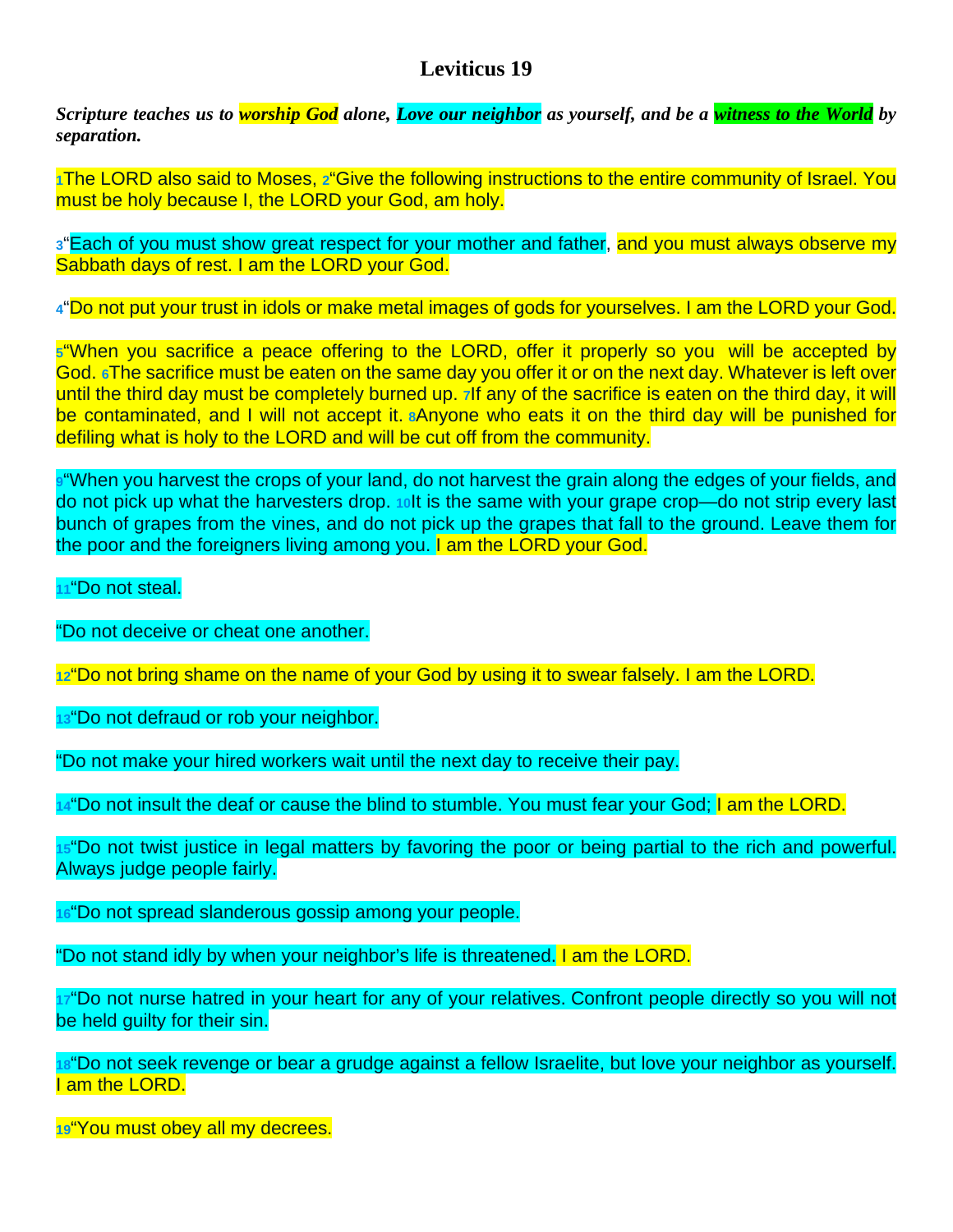# **Leviticus 19**

*Scripture teaches us to worship God alone, Love our neighbor as yourself, and be a witness to the World by separation.* 

**[1](http://biblehub.com/leviticus/19-1.htm)**The LORD also said to Moses, **[2](http://biblehub.com/leviticus/19-2.htm)**"Give the following instructions to the entire community of Israel. You must be holy because I, the LORD your God, am holy.

**[3](http://biblehub.com/leviticus/19-3.htm)**"Each of you must show great respect for your mother and father, and you must always observe my Sabbath days of rest. I am the LORD your God.

**[4](http://biblehub.com/leviticus/19-4.htm)**"Do not put your trust in idols or make metal images of gods for yourselves. I am the LORD your God.

**[5](http://biblehub.com/leviticus/19-5.htm)**"When you sacrifice a peace offering to the LORD, offer it properly so you will be accepted by God. **[6](http://biblehub.com/leviticus/19-6.htm)**The sacrifice must be eaten on the same day you offer it or on the next day. Whatever is left over until the third day must be completely burned up. **[7](http://biblehub.com/leviticus/19-7.htm)**If any of the sacrifice is eaten on the third day, it will be contaminated, and I will not accept it. **[8](http://biblehub.com/leviticus/19-8.htm)**Anyone who eats it on the third day will be punished for defiling what is holy to the LORD and will be cut off from the community.

**[9](http://biblehub.com/leviticus/19-9.htm)**"When you harvest the crops of your land, do not harvest the grain along the edges of your fields, and do not pick up what the harvesters drop. **[10](http://biblehub.com/leviticus/19-10.htm)**It is the same with your grape crop—do not strip every last bunch of grapes from the vines, and do not pick up the grapes that fall to the ground. Leave them for the poor and the foreigners living among you. I am the LORD your God.

**[11](http://biblehub.com/leviticus/19-11.htm)**"Do not steal.

"Do not deceive or cheat one another.

**[12](http://biblehub.com/leviticus/19-12.htm)**"Do not bring shame on the name of your God by using it to swear falsely. I am the LORD.

**[13](http://biblehub.com/leviticus/19-13.htm)**"Do not defraud or rob your neighbor.

"Do not make your hired workers wait until the next day to receive their pay.

**[14](http://biblehub.com/leviticus/19-14.htm)**"Do not insult the deaf or cause the blind to stumble. You must fear your God; I am the LORD.

**[15](http://biblehub.com/leviticus/19-15.htm)**"Do not twist justice in legal matters by favoring the poor or being partial to the rich and powerful. Always judge people fairly.

**[16](http://biblehub.com/leviticus/19-16.htm)**"Do not spread slanderous gossip among your people.

"Do not stand idly by when your neighbor's life is threatened. I am the LORD.

**[17](http://biblehub.com/leviticus/19-17.htm)**"Do not nurse hatred in your heart for any of your relatives. Confront people directly so you will not be held guilty for their sin.

**[18](http://biblehub.com/leviticus/19-18.htm)**"Do not seek revenge or bear a grudge against a fellow Israelite, but love your neighbor as yourself. I am the LORD.

**[19](http://biblehub.com/leviticus/19-19.htm)**"You must obey all my decrees.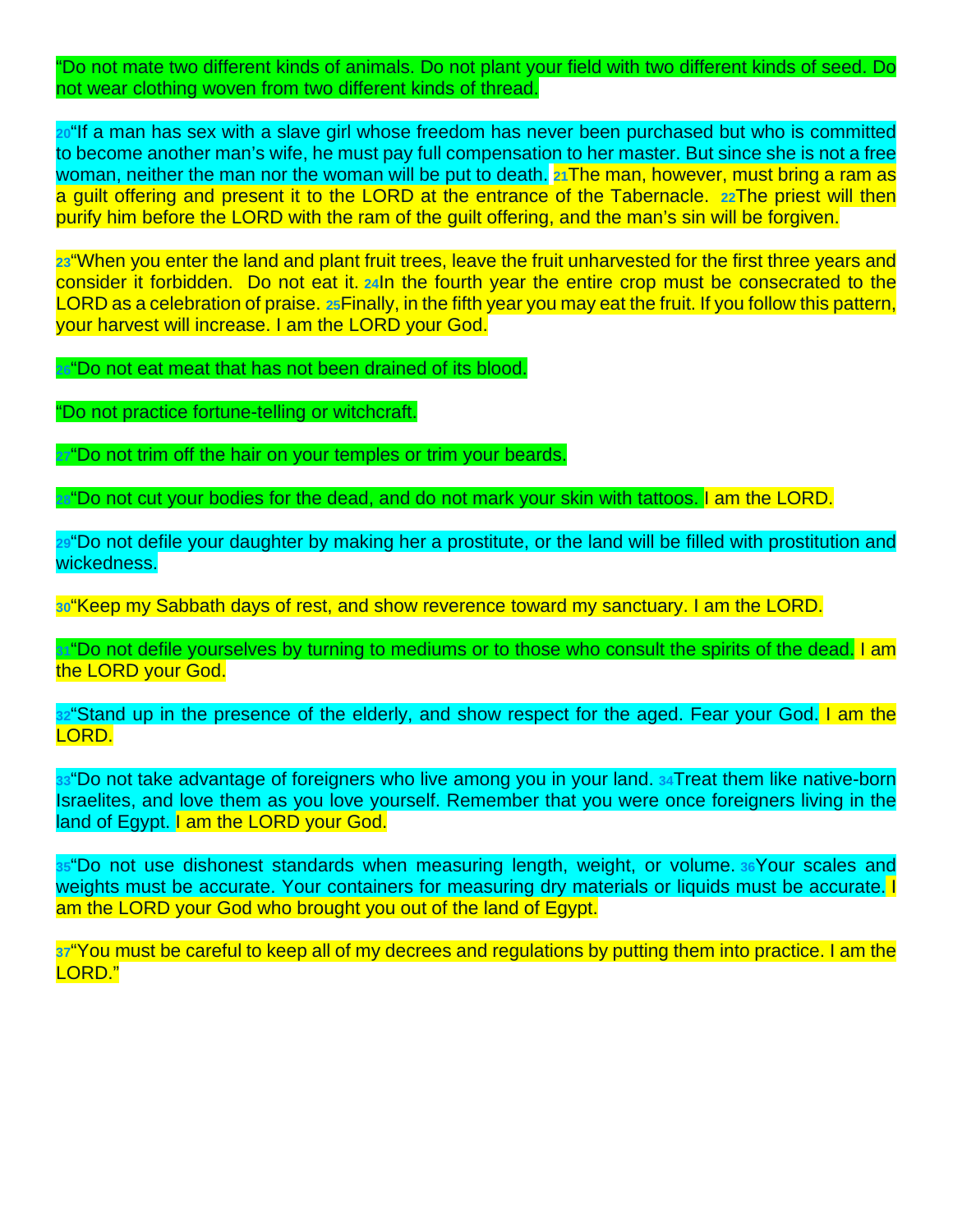"Do not mate two different kinds of animals. Do not plant your field with two different kinds of seed. Do not wear clothing woven from two different kinds of thread.

**[20](http://biblehub.com/leviticus/19-20.htm)**"If a man has sex with a slave girl whose freedom has never been purchased but who is committed to become another man's wife, he must pay full compensation to her master. But since she is not a free woman, neither the man nor the woman will be put to death. **[21](http://biblehub.com/leviticus/19-21.htm)**The man, however, must bring a ram as a guilt offering and present it to the LORD at the entrance of the Tabernacle. **[22](http://biblehub.com/leviticus/19-22.htm)**The priest will then purify him before the LORD with the ram of the guilt offering, and the man's sin will be forgiven.

**[23](http://biblehub.com/leviticus/19-23.htm)**"When you enter the land and plant fruit trees, leave the fruit unharvested for the first three years and consider it forbidden. Do not eat it. **[24](http://biblehub.com/leviticus/19-24.htm)**In the fourth year the entire crop must be consecrated to the LORD as a celebration of praise. **[25](http://biblehub.com/leviticus/19-25.htm)**Finally, in the fifth year you may eat the fruit. If you follow this pattern, your harvest will increase. I am the LORD your God.

**[26](http://biblehub.com/leviticus/19-26.htm)**"Do not eat meat that has not been drained of its blood.

"Do not practice fortune-telling or witchcraft.

**[27](http://biblehub.com/leviticus/19-27.htm)**"Do not trim off the hair on your temples or trim your beards.

**[28](http://biblehub.com/leviticus/19-28.htm)**"Do not cut your bodies for the dead, and do not mark your skin with tattoos. I am the LORD.

**[29](http://biblehub.com/leviticus/19-29.htm)**"Do not defile your daughter by making her a prostitute, or the land will be filled with prostitution and wickedness.

**[30](http://biblehub.com/leviticus/19-30.htm)**"Keep my Sabbath days of rest, and show reverence toward my sanctuary. I am the LORD.

**[31](http://biblehub.com/leviticus/19-31.htm)** "Do not defile yourselves by turning to mediums or to those who consult the spirits of the dead. I am the LORD your God.

**[32](http://biblehub.com/leviticus/19-32.htm)**"Stand up in the presence of the elderly, and show respect for the aged. Fear your God. I am the LORD.

**[33](http://biblehub.com/leviticus/19-33.htm)**"Do not take advantage of foreigners who live among you in your land. **[34](http://biblehub.com/leviticus/19-34.htm)**Treat them like native-born Israelites, and love them as you love yourself. Remember that you were once foreigners living in the land of Egypt. I am the LORD your God.

**[35](http://biblehub.com/leviticus/19-35.htm)**"Do not use dishonest standards when measuring length, weight, or volume. **[36](http://biblehub.com/leviticus/19-36.htm)**Your scales and weights must be accurate. Your containers for measuring dry materials or liquids must be accurate. I am the LORD your God who brought you out of the land of Egypt.

**[37](http://biblehub.com/leviticus/19-37.htm)**"You must be careful to keep all of my decrees and regulations by putting them into practice. I am the LORD."